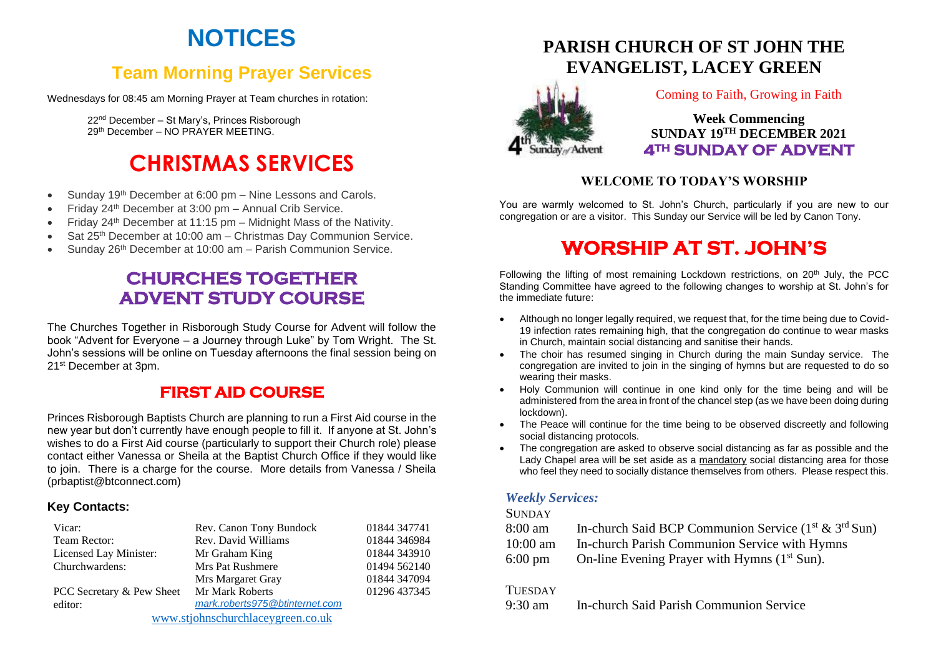# **NOTICES**

## **Team Morning Prayer Services**

Wednesdays for 08:45 am Morning Prayer at Team churches in rotation:

22nd December – St Mary's, Princes Risborough 29th December – NO PRAYER MEETING.

# **CHRISTMAS SERVICES**

- Sunday 19<sup>th</sup> December at 6:00 pm Nine Lessons and Carols.
- Friday 24th December at 3:00 pm Annual Crib Service.
- Friday 24th December at 11:15 pm Midnight Mass of the Nativity.
- Sat 25th December at 10:00 am Christmas Day Communion Service.
- Sunday 26<sup>th</sup> December at 10:00 am Parish Communion Service.

## **CHURCHES TOGETHER ADVENT STUDY COURSE**

The Churches Together in Risborough Study Course for Advent will follow the book "Advent for Everyone – a Journey through Luke" by Tom Wright. The St. John's sessions will be online on Tuesday afternoons the final session being on 21st December at 3pm.

### **FIRST AID COURSE**

Princes Risborough Baptists Church are planning to run a First Aid course in the new year but don't currently have enough people to fill it. If anyone at St. John's wishes to do a First Aid course (particularly to support their Church role) please contact either Vanessa or Sheila at the Baptist Church Office if they would like to join. There is a charge for the course. More details from Vanessa / Sheila (prbaptist@btconnect.com)

#### **Key Contacts:**

| Vicar:                            | Rev. Canon Tony Bundock        | 01844 347741 |
|-----------------------------------|--------------------------------|--------------|
| Team Rector:                      | Rev. David Williams            | 01844 346984 |
| Licensed Lay Minister:            | Mr Graham King                 | 01844 343910 |
| Churchwardens:                    | <b>Mrs Pat Rushmere</b>        | 01494 562140 |
|                                   | Mrs Margaret Gray              | 01844 347094 |
| PCC Secretary & Pew Sheet         | Mr Mark Roberts                | 01296 437345 |
| editor:                           | mark.roberts975@btinternet.com |              |
| www.stjohnschurchlaceygreen.co.uk |                                |              |

## **PARISH CHURCH OF ST JOHN THE EVANGELIST, LACEY GREEN**



#### Coming to Faith, Growing in Faith

**Week Commencing SUNDAY 19 TH DECEMBER 2021 4TH SUNDAY OF ADVENT** 

#### **WELCOME TO TODAY'S WORSHIP**

You are warmly welcomed to St. John's Church, particularly if you are new to our congregation or are a visitor. This Sunday our Service will be led by Canon Tony.

## **WORSHIP AT ST. JOHN'S**

Following the lifting of most remaining Lockdown restrictions, on  $20<sup>th</sup>$  July, the PCC Standing Committee have agreed to the following changes to worship at St. John's for the immediate future:

- Although no longer legally required, we request that, for the time being due to Covid-19 infection rates remaining high, that the congregation do continue to wear masks in Church, maintain social distancing and sanitise their hands.
- The choir has resumed singing in Church during the main Sunday service. The congregation are invited to join in the singing of hymns but are requested to do so wearing their masks.
- Holy Communion will continue in one kind only for the time being and will be administered from the area in front of the chancel step (as we have been doing during lockdown).
- The Peace will continue for the time being to be observed discreetly and following social distancing protocols.
- The congregation are asked to observe social distancing as far as possible and the Lady Chapel area will be set aside as a mandatory social distancing area for those who feel they need to socially distance themselves from others. Please respect this.

#### *Weekly Services:*

#### **SUNDAY**

| 8:00 am            | In-church Said BCP Communion Service $(1st \& 3rd Sun)$  |
|--------------------|----------------------------------------------------------|
| $10:00 \text{ am}$ | In-church Parish Communion Service with Hymns            |
| $6:00 \text{ pm}$  | On-line Evening Prayer with Hymns (1 <sup>st</sup> Sun). |

#### **TUESDAY**

9:30 am In-church Said Parish Communion Service